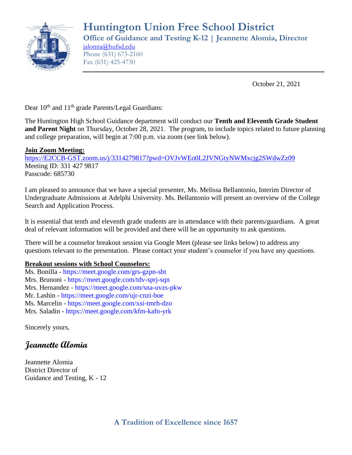

October 21, 2021

Dear  $10^{th}$  and  $11^{th}$  grade Parents/Legal Guardians:

The Huntington High School Guidance department will conduct our **Tenth and Eleventh Grade Student and Parent Night** on Thursday, October 28, 2021. The program, to include topics related to future planning and college preparation, will begin at 7:00 p.m. via zoom (see link below).

### **Join Zoom Meeting:**

[https://E2CCB-GST.zoom.us/j/3314279817?pwd=OVJvWEo0L2JVNGtyNWMxcjg2SWdwZz09](https://e2ccb-gst.zoom.us/j/3314279817?pwd=OVJvWEo0L2JVNGtyNWMxcjg2SWdwZz09) Meeting ID: 331 427 9817 Passcode: 685730

I am pleased to announce that we have a special presenter, Ms. Melissa Bellantonio, Interim Director of Undergraduate Admissions at Adelphi University. Ms. Bellantonio will present an overview of the College Search and Application Process.

It is essential that tenth and eleventh grade students are in attendance with their parents/guardians. A great deal of relevant information will be provided and there will be an opportunity to ask questions.

There will be a counselor breakout session via Google Meet (please see links below) to address any questions relevant to the presentation. Please contact your student's counselor if you have any questions.

#### **Breakout sessions with School Counselors:**

Ms. Bonilla - https://meet.google.com/grs-gzpn-sbt Mrs. Brunoni - https://meet.google.com/tdv-sprj-sqn Mrs. Hernandez - https://meet.google.com/sna-uvzs-pkw Mr. Lashin - https://meet.google.com/ujr-cnzi-boe Ms. Marcelin - https://meet.google.com/xsi-tmrh-dzo Mrs. Saladin - https://meet.google.com/kfm-kafn-yrk

Sincerely yours,

## **Jeannette Alomia**

Jeannette Alomia District Director of Guidance and Testing, K - 12